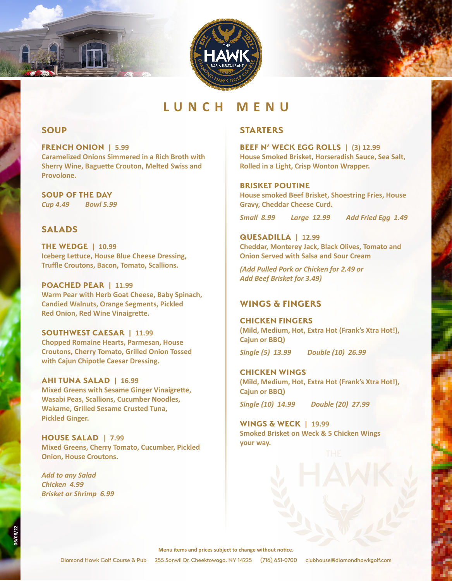



### **SOUP**

**FRENCH ONION | 5.99 Caramelized Onions Simmered in a Rich Broth with Sherry Wine, Baguette Crouton, Melted Swiss and Provolone.**

**SOUP OF THE DAY** *Cup 4.49 Bowl 5.99*

# **SALADS**

**THE WEDGE | 10.99 Iceberg Lettuce, House Blue Cheese Dressing, Truffle Croutons, Bacon, Tomato, Scallions.** 

**POACHED PEAR | 11.99 Warm Pear with Herb Goat Cheese, Baby Spinach, Candied Walnuts, Orange Segments, Pickled Red Onion, Red Wine Vinaigrette.**

**SOUTHWEST CAESAR | 11.99 Chopped Romaine Hearts, Parmesan, House Croutons, Cherry Tomato, Grilled Onion Tossed with Cajun Chipotle Caesar Dressing.**

**AHI TUNA SALAD | 16.99 Mixed Greens with Sesame Ginger Vinaigrette, Wasabi Peas, Scallions, Cucumber Noodles, Wakame, Grilled Sesame Crusted Tuna, Pickled Ginger.**

**HOUSE SALAD | 7.99 Mixed Greens, Cherry Tomato, Cucumber, Pickled Onion, House Croutons.**

*Add to any Salad Chicken 4.99 Brisket or Shrimp 6.99*

# **STARTERS**

**BEEF N' WECK EGG ROLLS | (3) 12.99 House Smoked Brisket, Horseradish Sauce, Sea Salt, Rolled in a Light, Crisp Wonton Wrapper.**

#### **BRISKET POUTINE**

**House smoked Beef Brisket, Shoestring Fries, House Gravy, Cheddar Cheese Curd.**

*Small 8.99 Large 12.99 Add Fried Egg 1.49*

**QUESADILLA | 12.99 Cheddar, Monterey Jack, Black Olives, Tomato and Onion Served with Salsa and Sour Cream** 

*(Add Pulled Pork or Chicken for 2.49 or Add Beef Brisket for 3.49)*

# **WINGS & FINGERS**

### **CHICKEN FINGERS**

**(Mild, Medium, Hot, Extra Hot (Frank's Xtra Hot!), Cajun or BBQ)**

*Single (5) 13.99 Double (10) 26.99*

**CHICKEN WINGS (Mild, Medium, Hot, Extra Hot (Frank's Xtra Hot!), Cajun or BBQ)**

*Single (10) 14.99 Double (20) 27.99*

**WINGS & WECK | 19.99 Smoked Brisket on Weck & 5 Chicken Wings your way.**